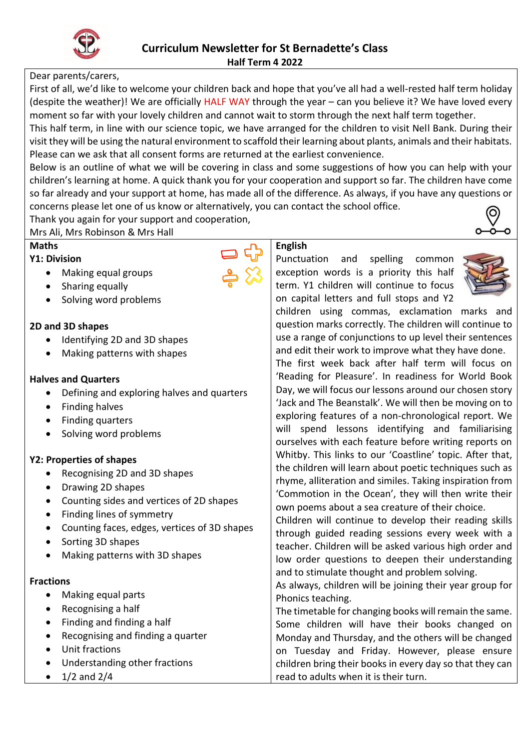

### Dear parents/carers,

First of all, we'd like to welcome your children back and hope that you've all had a well-rested half term holiday (despite the weather)! We are officially HALF WAY through the year – can you believe it? We have loved every moment so far with your lovely children and cannot wait to storm through the next half term together.

This half term, in line with our science topic, we have arranged for the children to visit Nell Bank. During their visit they will be using the natural environment to scaffold their learning about plants, animals and their habitats. Please can we ask that all consent forms are returned at the earliest convenience.

Below is an outline of what we will be covering in class and some suggestions of how you can help with your children's learning at home. A quick thank you for your cooperation and support so far. The children have come so far already and your support at home, has made all of the difference. As always, if you have any questions or concerns please let one of us know or alternatively, you can contact the school office.

Thank you again for your support and cooperation, Mrs Ali, Mrs Robinson & Mrs Hall

### **Maths**

### **Y1: Division**

- Making equal groups
- Sharing equally
- Solving word problems

### **2D and 3D shapes**

- Identifying 2D and 3D shapes
- Making patterns with shapes

### **Halves and Quarters**

- Defining and exploring halves and quarters
- Finding halves
- Finding quarters
- Solving word problems

# **Y2: Properties of shapes**

- Recognising 2D and 3D shapes
- Drawing 2D shapes
- Counting sides and vertices of 2D shapes
- Finding lines of symmetry
- Counting faces, edges, vertices of 3D shapes
- Sorting 3D shapes
- Making patterns with 3D shapes

# **Fractions**

- Making equal parts
- $\bullet$  Recognising a half
- Finding and finding a half
- Recognising and finding a quarter
- Unit fractions
- Understanding other fractions
- $1/2$  and  $2/4$



**English**

Punctuation and spelling common exception words is a priority this half term. Y1 children will continue to focus on capital letters and full stops and Y2



children using commas, exclamation marks and question marks correctly. The children will continue to use a range of conjunctions to up level their sentences and edit their work to improve what they have done.

The first week back after half term will focus on 'Reading for Pleasure'. In readiness for World Book Day, we will focus our lessons around our chosen story 'Jack and The Beanstalk'. We will then be moving on to exploring features of a non-chronological report. We will spend lessons identifying and familiarising ourselves with each feature before writing reports on Whitby. This links to our 'Coastline' topic. After that, the children will learn about poetic techniques such as rhyme, alliteration and similes. Taking inspiration from 'Commotion in the Ocean', they will then write their own poems about a sea creature of their choice.

Children will continue to develop their reading skills through guided reading sessions every week with a teacher. Children will be asked various high order and low order questions to deepen their understanding and to stimulate thought and problem solving.

As always, children will be joining their year group for Phonics teaching.

The timetable for changing books will remain the same. Some children will have their books changed on Monday and Thursday, and the others will be changed on Tuesday and Friday. However, please ensure children bring their books in every day so that they can read to adults when it is their turn.